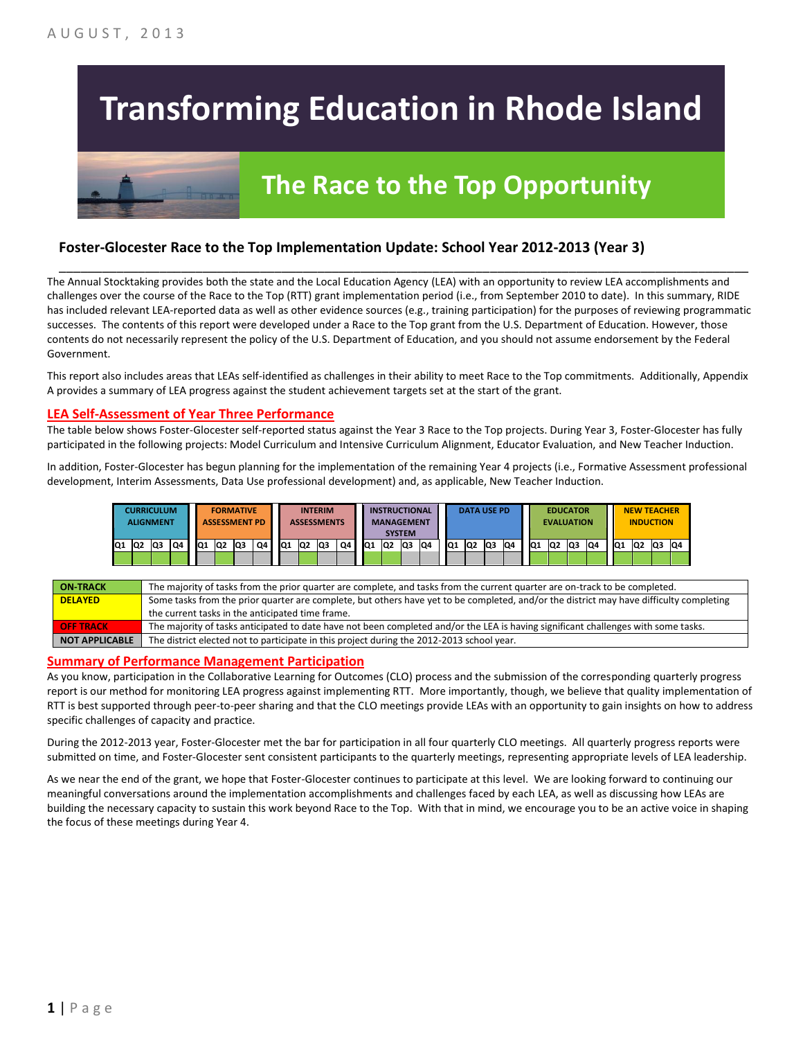# **Transforming Education in Rhode Island**

## **The Race to the Top Opportunity**

#### **Foster-Glocester Race to the Top Implementation Update: School Year 2012-2013 (Year 3)**

The Annual Stocktaking provides both the state and the Local Education Agency (LEA) with an opportunity to review LEA accomplishments and challenges over the course of the Race to the Top (RTT) grant implementation period (i.e., from September 2010 to date). In this summary, RIDE has included relevant LEA-reported data as well as other evidence sources (e.g., training participation) for the purposes of reviewing programmatic successes. The contents of this report were developed under a Race to the Top grant from the U.S. Department of Education. However, those contents do not necessarily represent the policy of the U.S. Department of Education, and you should not assume endorsement by the Federal Government.

\_\_\_\_\_\_\_\_\_\_\_\_\_\_\_\_\_\_\_\_\_\_\_\_\_\_\_\_\_\_\_\_\_\_\_\_\_\_\_\_\_\_\_\_\_\_\_\_\_\_\_\_\_\_\_\_\_\_\_\_\_\_\_\_\_\_\_\_\_\_\_\_\_\_\_\_\_\_\_\_\_\_\_\_\_\_\_\_\_\_\_\_\_\_\_\_

This report also includes areas that LEAs self-identified as challenges in their ability to meet Race to the Top commitments. Additionally, Appendix A provides a summary of LEA progress against the student achievement targets set at the start of the grant.

#### **LEA Self-Assessment of Year Three Performance**

The table below shows Foster-Glocester self-reported status against the Year 3 Race to the Top projects. During Year 3, Foster-Glocester has fully participated in the following projects: Model Curriculum and Intensive Curriculum Alignment, Educator Evaluation, and New Teacher Induction.

In addition, Foster-Glocester has begun planning for the implementation of the remaining Year 4 projects (i.e., Formative Assessment professional development, Interim Assessments, Data Use professional development) and, as applicable, New Teacher Induction.

|       | <b>CURRICULUM</b><br><b>ALIGNMENT</b> |    |    |     |                | <b>FORMATIVE</b><br><b>ASSESSMENT PD</b> |    |                 | <b>ASSESSMENTS</b> | <b>INTERIM</b> |    |                 |     | <b>INSTRUCTIONAL</b><br><b>MANAGEMENT</b><br><b>SYSTEM</b> |     |                 | <b>DATA USE PD</b> |    |     |     | <b>EVALUATION</b> | <b>EDUCATOR</b> |    |                 |                | <b>NEW TEACHER</b><br><b>INDUCTION</b> |    |
|-------|---------------------------------------|----|----|-----|----------------|------------------------------------------|----|-----------------|--------------------|----------------|----|-----------------|-----|------------------------------------------------------------|-----|-----------------|--------------------|----|-----|-----|-------------------|-----------------|----|-----------------|----------------|----------------------------------------|----|
| Q1 Q2 |                                       | Q3 | Q4 | IQ1 | Q <sub>2</sub> | Q3                                       | Q4 | IQ <sub>1</sub> | IQ <sub>2</sub>    | Q3             | Q4 | IQ <sub>1</sub> | IQ2 | Q <sub>3</sub>                                             | IQ4 | IQ <sub>1</sub> | Q2                 | Q3 | IQ4 | IQ1 | Q2                | lQ3             | Q4 | IQ <sub>1</sub> | Q <sub>2</sub> | Q3                                     | Q4 |
|       |                                       |    |    |     |                |                                          |    |                 |                    |                |    |                 |     |                                                            |     |                 |                    |    |     |     |                   |                 |    |                 |                |                                        |    |

| <b>ON TRACK</b>       | The majority of tasks from the prior quarter are complete, and tasks from the current quarter are on-track to be completed.             |
|-----------------------|-----------------------------------------------------------------------------------------------------------------------------------------|
| <b>DELAYED</b>        | Some tasks from the prior quarter are complete, but others have yet to be completed, and/or the district may have difficulty completing |
|                       | the current tasks in the anticipated time frame.                                                                                        |
| <b>OFF TRACK</b>      | The majority of tasks anticipated to date have not been completed and/or the LEA is having significant challenges with some tasks.      |
| <b>NOT APPLICABLE</b> | The district elected not to participate in this project during the 2012-2013 school year.                                               |

#### **Summary of Performance Management Participation**

As you know, participation in the Collaborative Learning for Outcomes (CLO) process and the submission of the corresponding quarterly progress report is our method for monitoring LEA progress against implementing RTT. More importantly, though, we believe that quality implementation of RTT is best supported through peer-to-peer sharing and that the CLO meetings provide LEAs with an opportunity to gain insights on how to address specific challenges of capacity and practice.

During the 2012-2013 year, Foster-Glocester met the bar for participation in all four quarterly CLO meetings. All quarterly progress reports were submitted on time, and Foster-Glocester sent consistent participants to the quarterly meetings, representing appropriate levels of LEA leadership.

As we near the end of the grant, we hope that Foster-Glocester continues to participate at this level. We are looking forward to continuing our meaningful conversations around the implementation accomplishments and challenges faced by each LEA, as well as discussing how LEAs are building the necessary capacity to sustain this work beyond Race to the Top. With that in mind, we encourage you to be an active voice in shaping the focus of these meetings during Year 4.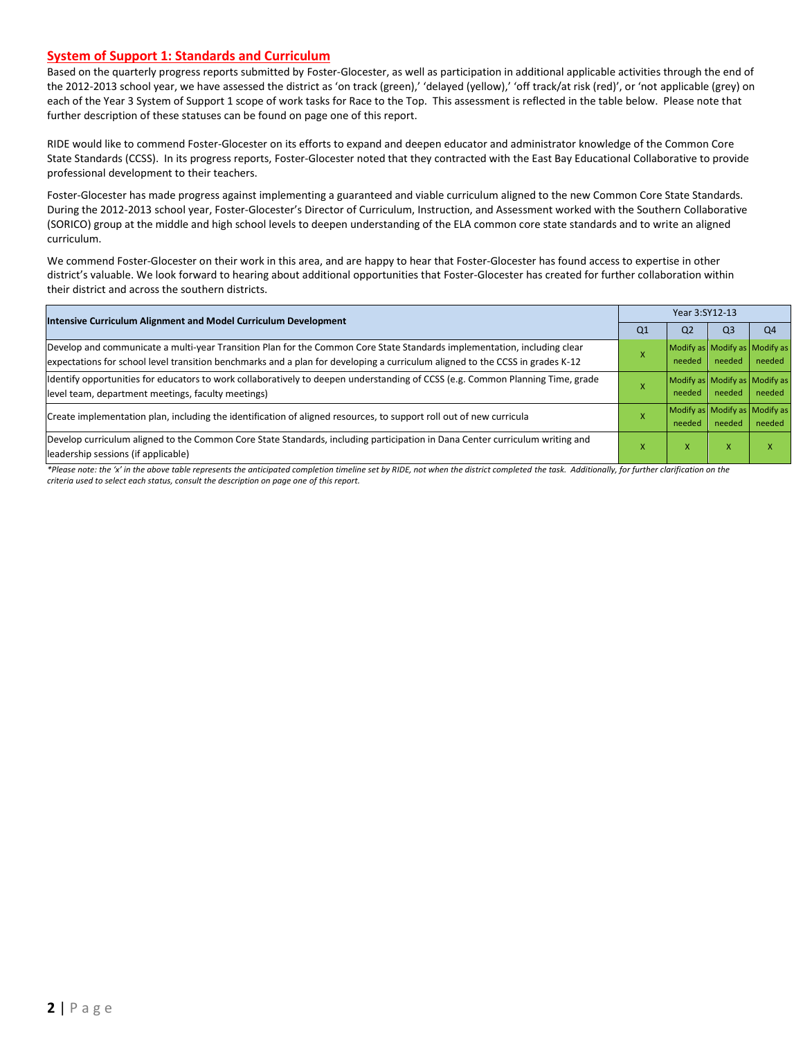#### **System of Support 1: Standards and Curriculum**

Based on the quarterly progress reports submitted by Foster-Glocester, as well as participation in additional applicable activities through the end of the 2012-2013 school year, we have assessed the district as 'on track (green),' 'delayed (yellow),' 'off track/at risk (red)', or 'not applicable (grey) on each of the Year 3 System of Support 1 scope of work tasks for Race to the Top. This assessment is reflected in the table below. Please note that further description of these statuses can be found on page one of this report.

RIDE would like to commend Foster-Glocester on its efforts to expand and deepen educator and administrator knowledge of the Common Core State Standards (CCSS). In its progress reports, Foster-Glocester noted that they contracted with the East Bay Educational Collaborative to provide professional development to their teachers.

Foster-Glocester has made progress against implementing a guaranteed and viable curriculum aligned to the new Common Core State Standards. During the 2012-2013 school year, Foster-Glocester's Director of Curriculum, Instruction, and Assessment worked with the Southern Collaborative (SORICO) group at the middle and high school levels to deepen understanding of the ELA common core state standards and to write an aligned curriculum.

We commend Foster-Glocester on their work in this area, and are happy to hear that Foster-Glocester has found access to expertise in other district's valuable. We look forward to hearing about additional opportunities that Foster-Glocester has created for further collaboration within their district and across the southern districts.

| <b>Intensive Curriculum Alignment and Model Curriculum Development</b>                                                                                                                                                                                    | Year 3:SY12-13 |                |                           |                                         |  |  |  |
|-----------------------------------------------------------------------------------------------------------------------------------------------------------------------------------------------------------------------------------------------------------|----------------|----------------|---------------------------|-----------------------------------------|--|--|--|
|                                                                                                                                                                                                                                                           | Q <sub>1</sub> | Q <sub>2</sub> | Q <sub>3</sub>            | Q <sub>4</sub>                          |  |  |  |
| Develop and communicate a multi-year Transition Plan for the Common Core State Standards implementation, including clear<br>expectations for school level transition benchmarks and a plan for developing a curriculum aligned to the CCSS in grades K-12 |                | needed         | needed                    | Modify as Modify as Modify as<br>needed |  |  |  |
| ldentify opportunities for educators to work collaboratively to deepen understanding of CCSS (e.g. Common Planning Time, grade<br>level team, department meetings, faculty meetings)                                                                      |                | needed         | needed                    | Modify as Modify as Modify as<br>needed |  |  |  |
| Create implementation plan, including the identification of aligned resources, to support roll out of new curricula                                                                                                                                       |                | needed         | needed                    | Modify as Modify as Modify as<br>needed |  |  |  |
| Develop curriculum aligned to the Common Core State Standards, including participation in Dana Center curriculum writing and<br>leadership sessions (if applicable)                                                                                       | ^              | X              | $\boldsymbol{\mathsf{x}}$ |                                         |  |  |  |

*\*Please note: the 'x' in the above table represents the anticipated completion timeline set by RIDE, not when the district completed the task. Additionally, for further clarification on the criteria used to select each status, consult the description on page one of this report.*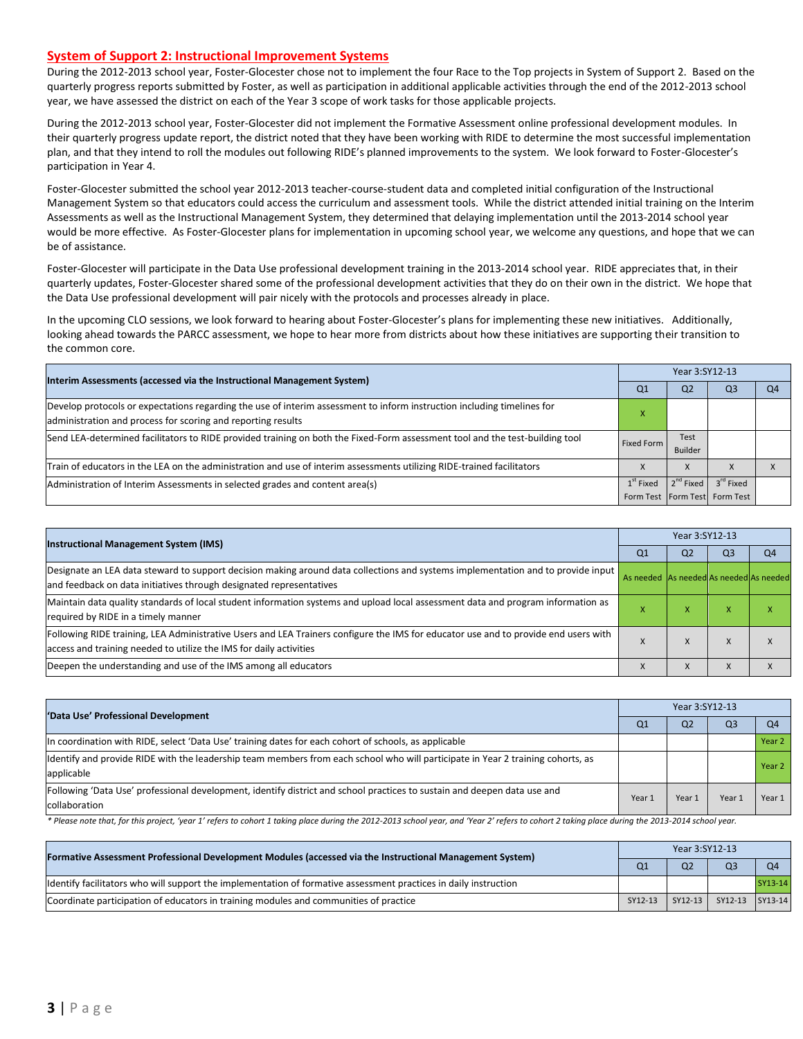#### **System of Support 2: Instructional Improvement Systems**

During the 2012-2013 school year, Foster-Glocester chose not to implement the four Race to the Top projects in System of Support 2. Based on the quarterly progress reports submitted by Foster, as well as participation in additional applicable activities through the end of the 2012-2013 school year, we have assessed the district on each of the Year 3 scope of work tasks for those applicable projects.

During the 2012-2013 school year, Foster-Glocester did not implement the Formative Assessment online professional development modules. In their quarterly progress update report, the district noted that they have been working with RIDE to determine the most successful implementation plan, and that they intend to roll the modules out following RIDE's planned improvements to the system. We look forward to Foster-Glocester's participation in Year 4.

Foster-Glocester submitted the school year 2012-2013 teacher-course-student data and completed initial configuration of the Instructional Management System so that educators could access the curriculum and assessment tools. While the district attended initial training on the Interim Assessments as well as the Instructional Management System, they determined that delaying implementation until the 2013-2014 school year would be more effective. As Foster-Glocester plans for implementation in upcoming school year, we welcome any questions, and hope that we can be of assistance.

Foster-Glocester will participate in the Data Use professional development training in the 2013-2014 school year. RIDE appreciates that, in their quarterly updates, Foster-Glocester shared some of the professional development activities that they do on their own in the district. We hope that the Data Use professional development will pair nicely with the protocols and processes already in place.

In the upcoming CLO sessions, we look forward to hearing about Foster-Glocester's plans for implementing these new initiatives. Additionally, looking ahead towards the PARCC assessment, we hope to hear more from districts about how these initiatives are supporting their transition to the common core.

| Interim Assessments (accessed via the Instructional Management System)                                                                                                                  | Year 3:SY12-13 |                 |                                                            |    |  |  |
|-----------------------------------------------------------------------------------------------------------------------------------------------------------------------------------------|----------------|-----------------|------------------------------------------------------------|----|--|--|
|                                                                                                                                                                                         | Q <sub>1</sub> | Q <sub>2</sub>  | Q <sub>3</sub>                                             | Q4 |  |  |
| Develop protocols or expectations regarding the use of interim assessment to inform instruction including timelines for<br>administration and process for scoring and reporting results | ⋏              |                 |                                                            |    |  |  |
| Send LEA-determined facilitators to RIDE provided training on both the Fixed-Form assessment tool and the test-building tool                                                            | Fixed Form     | Test<br>Builder |                                                            |    |  |  |
| Train of educators in the LEA on the administration and use of interim assessments utilizing RIDE-trained facilitators                                                                  |                |                 |                                                            |    |  |  |
| Administration of Interim Assessments in selected grades and content area(s)                                                                                                            | $1st$ Fixed    | $2^{nd}$ Fixed  | 3 <sup>rd</sup> Fixed<br>Form Test   Form Test   Form Test |    |  |  |

| <b>Instructional Management System (IMS)</b>                                                                                                                                                              |                                         | Year 3:SY12-13 |                |                |  |  |  |
|-----------------------------------------------------------------------------------------------------------------------------------------------------------------------------------------------------------|-----------------------------------------|----------------|----------------|----------------|--|--|--|
|                                                                                                                                                                                                           | Q <sub>1</sub>                          | Q <sub>2</sub> | Q <sub>3</sub> | Q <sub>4</sub> |  |  |  |
| Designate an LEA data steward to support decision making around data collections and systems implementation and to provide input<br>and feedback on data initiatives through designated representatives   | As needed As needed As needed As needed |                |                |                |  |  |  |
| Maintain data quality standards of local student information systems and upload local assessment data and program information as<br>required by RIDE in a timely manner                                   |                                         | ^              | ⋏              |                |  |  |  |
| Following RIDE training, LEA Administrative Users and LEA Trainers configure the IMS for educator use and to provide end users with<br>access and training needed to utilize the IMS for daily activities |                                         | X              | X              |                |  |  |  |
| Deepen the understanding and use of the IMS among all educators                                                                                                                                           |                                         | X              | $\lambda$      |                |  |  |  |

| 'Data Use' Professional Development                                                                                                           |        | Year 3:SY12-13 |        |        |  |  |  |
|-----------------------------------------------------------------------------------------------------------------------------------------------|--------|----------------|--------|--------|--|--|--|
|                                                                                                                                               | Q1     | Q <sub>2</sub> | Q3     |        |  |  |  |
| In coordination with RIDE, select 'Data Use' training dates for each cohort of schools, as applicable                                         |        |                |        | Year 2 |  |  |  |
| ldentify and provide RIDE with the leadership team members from each school who will participate in Year 2 training cohorts, as<br>applicable |        |                |        | Year 2 |  |  |  |
| Following 'Data Use' professional development, identify district and school practices to sustain and deepen data use and<br>collaboration     | Year 1 | Year 1         | Year 1 | Year 1 |  |  |  |

\* Please note that, for this project, 'year 1' refers to cohort 1 taking place during the 2012-2013 school year, and 'Year 2' refers to cohort 2 taking place during the 2013-2014 school year.

| [Formative Assessment Professional Development Modules (accessed via the Instructional Management System)        |                | Year 3:SY12-13 |                 |                |  |  |  |
|------------------------------------------------------------------------------------------------------------------|----------------|----------------|-----------------|----------------|--|--|--|
|                                                                                                                  | Q <sub>1</sub> | Q <sub>2</sub> | Q <sub>3</sub>  | O <sub>4</sub> |  |  |  |
| ldentify facilitators who will support the implementation of formative assessment practices in daily instruction |                |                |                 | SY13-14        |  |  |  |
| Coordinate participation of educators in training modules and communities of practice                            | SY12-13        | $SY12-13$      | SY12-13 SY13-14 |                |  |  |  |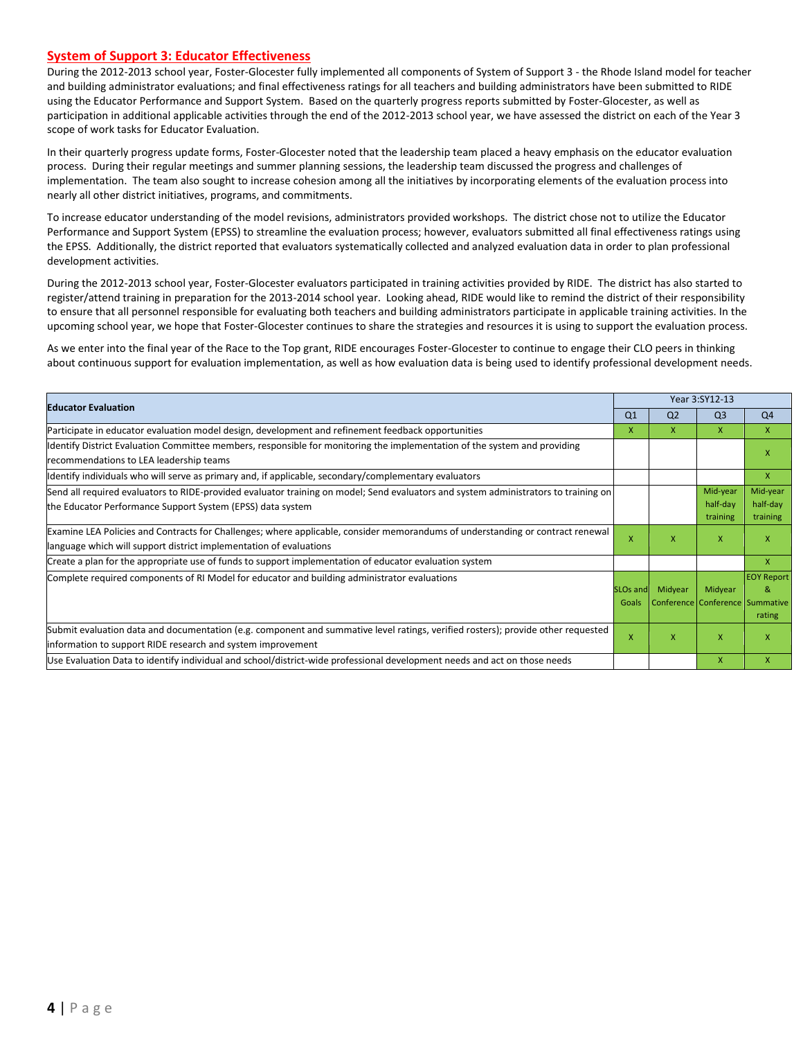#### **System of Support 3: Educator Effectiveness**

During the 2012-2013 school year, Foster-Glocester fully implemented all components of System of Support 3 - the Rhode Island model for teacher and building administrator evaluations; and final effectiveness ratings for all teachers and building administrators have been submitted to RIDE using the Educator Performance and Support System. Based on the quarterly progress reports submitted by Foster-Glocester, as well as participation in additional applicable activities through the end of the 2012-2013 school year, we have assessed the district on each of the Year 3 scope of work tasks for Educator Evaluation.

In their quarterly progress update forms, Foster-Glocester noted that the leadership team placed a heavy emphasis on the educator evaluation process. During their regular meetings and summer planning sessions, the leadership team discussed the progress and challenges of implementation. The team also sought to increase cohesion among all the initiatives by incorporating elements of the evaluation process into nearly all other district initiatives, programs, and commitments.

To increase educator understanding of the model revisions, administrators provided workshops. The district chose not to utilize the Educator Performance and Support System (EPSS) to streamline the evaluation process; however, evaluators submitted all final effectiveness ratings using the EPSS. Additionally, the district reported that evaluators systematically collected and analyzed evaluation data in order to plan professional development activities.

During the 2012-2013 school year, Foster-Glocester evaluators participated in training activities provided by RIDE. The district has also started to register/attend training in preparation for the 2013-2014 school year. Looking ahead, RIDE would like to remind the district of their responsibility to ensure that all personnel responsible for evaluating both teachers and building administrators participate in applicable training activities. In the upcoming school year, we hope that Foster-Glocester continues to share the strategies and resources it is using to support the evaluation process.

As we enter into the final year of the Race to the Top grant, RIDE encourages Foster-Glocester to continue to engage their CLO peers in thinking about continuous support for evaluation implementation, as well as how evaluation data is being used to identify professional development needs.

| <b>Educator Evaluation</b>                                                                                                                                                                           |                               | Year 3:SY12-13 |                                            |                                  |  |
|------------------------------------------------------------------------------------------------------------------------------------------------------------------------------------------------------|-------------------------------|----------------|--------------------------------------------|----------------------------------|--|
|                                                                                                                                                                                                      | Q <sub>1</sub>                | Q <sub>2</sub> | Q <sub>3</sub>                             | Q <sub>4</sub>                   |  |
| Participate in educator evaluation model design, development and refinement feedback opportunities                                                                                                   | X.                            | x              | X.                                         | $\mathsf{x}$                     |  |
| Identify District Evaluation Committee members, responsible for monitoring the implementation of the system and providing<br>recommendations to LEA leadership teams                                 |                               |                |                                            | X                                |  |
| ldentify individuals who will serve as primary and, if applicable, secondary/complementary evaluators                                                                                                |                               |                |                                            | $\mathsf{x}$                     |  |
| Send all required evaluators to RIDE-provided evaluator training on model; Send evaluators and system administrators to training on<br>the Educator Performance Support System (EPSS) data system    |                               |                | Mid-year<br>half-day<br>training           | Mid-year<br>half-day<br>training |  |
| Examine LEA Policies and Contracts for Challenges; where applicable, consider memorandums of understanding or contract renewal<br>language which will support district implementation of evaluations | X                             | X              | X                                          | X                                |  |
| Create a plan for the appropriate use of funds to support implementation of educator evaluation system                                                                                               |                               |                |                                            | $\mathsf{x}$                     |  |
| Complete required components of RI Model for educator and building administrator evaluations                                                                                                         | SLO <sub>s</sub> and<br>Goals | Midyear        | Midyear<br>Conference Conference Summative | <b>EOY Report</b><br>8<br>rating |  |
| Submit evaluation data and documentation (e.g. component and summative level ratings, verified rosters); provide other requested<br>information to support RIDE research and system improvement      | X                             | X              | $\mathsf{x}$                               | X                                |  |
| Use Evaluation Data to identify individual and school/district-wide professional development needs and act on those needs                                                                            |                               |                | X                                          | $\mathsf{x}$                     |  |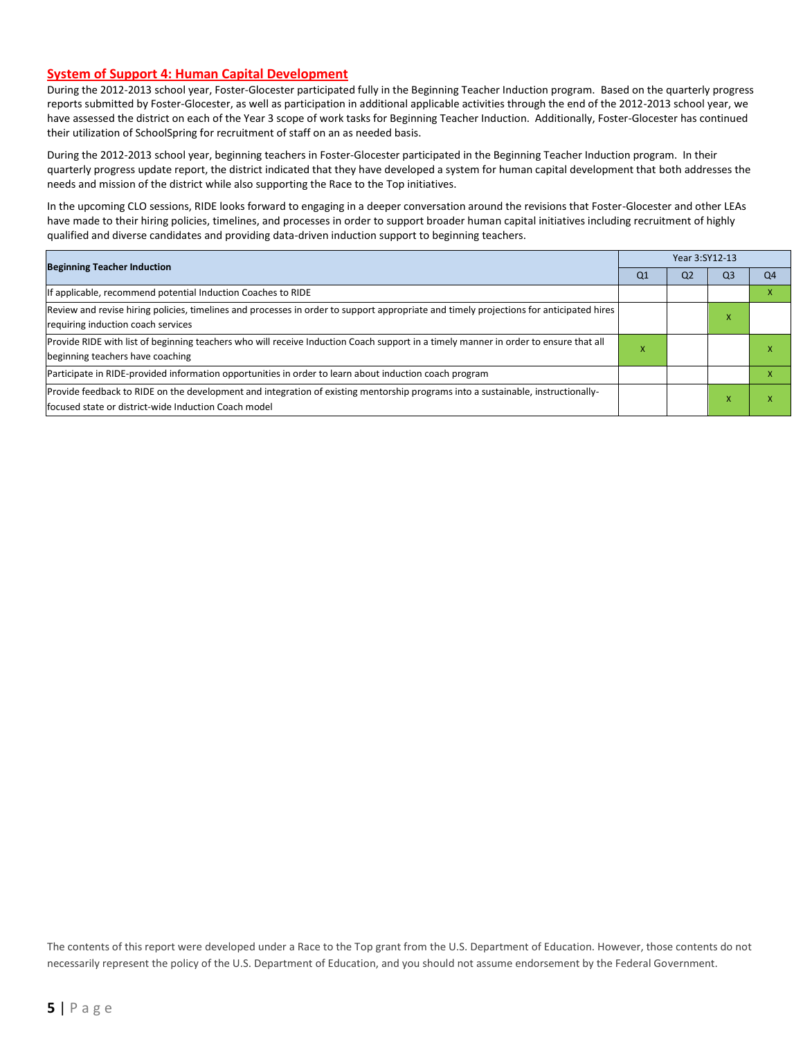#### **System of Support 4: Human Capital Development**

During the 2012-2013 school year, Foster-Glocester participated fully in the Beginning Teacher Induction program. Based on the quarterly progress reports submitted by Foster-Glocester, as well as participation in additional applicable activities through the end of the 2012-2013 school year, we have assessed the district on each of the Year 3 scope of work tasks for Beginning Teacher Induction. Additionally, Foster-Glocester has continued their utilization of SchoolSpring for recruitment of staff on an as needed basis.

During the 2012-2013 school year, beginning teachers in Foster-Glocester participated in the Beginning Teacher Induction program. In their quarterly progress update report, the district indicated that they have developed a system for human capital development that both addresses the needs and mission of the district while also supporting the Race to the Top initiatives.

In the upcoming CLO sessions, RIDE looks forward to engaging in a deeper conversation around the revisions that Foster-Glocester and other LEAs have made to their hiring policies, timelines, and processes in order to support broader human capital initiatives including recruitment of highly qualified and diverse candidates and providing data-driven induction support to beginning teachers.

| <b>Beginning Teacher Induction</b>                                                                                                                                                        |                | Year 3:SY12-13 |    |                |  |  |  |
|-------------------------------------------------------------------------------------------------------------------------------------------------------------------------------------------|----------------|----------------|----|----------------|--|--|--|
|                                                                                                                                                                                           | Q <sub>1</sub> | Q <sub>2</sub> | Q3 | O <sub>4</sub> |  |  |  |
| If applicable, recommend potential Induction Coaches to RIDE                                                                                                                              |                |                |    |                |  |  |  |
| Review and revise hiring policies, timelines and processes in order to support appropriate and timely projections for anticipated hires<br>requiring induction coach services             |                |                | ж  |                |  |  |  |
| Provide RIDE with list of beginning teachers who will receive Induction Coach support in a timely manner in order to ensure that all<br>beginning teachers have coaching                  | x              |                |    |                |  |  |  |
| Participate in RIDE-provided information opportunities in order to learn about induction coach program                                                                                    |                |                |    |                |  |  |  |
| Provide feedback to RIDE on the development and integration of existing mentorship programs into a sustainable, instructionally-<br>lfocused state or district-wide Induction Coach model |                |                |    |                |  |  |  |

The contents of this report were developed under a Race to the Top grant from the U.S. Department of Education. However, those contents do not necessarily represent the policy of the U.S. Department of Education, and you should not assume endorsement by the Federal Government.